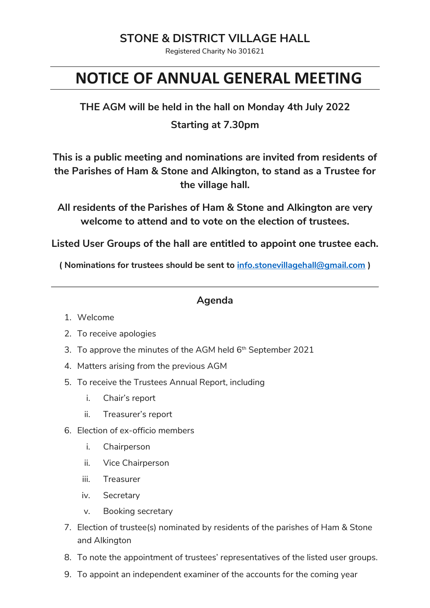## **STONE & DISTRICT VILLAGE HALL**

Registered Charity No 301621

# **NOTICE OF ANNUAL GENERAL MEETING**

**THE AGM will be held in the hall on Monday 4th July 2022 Starting at 7.30pm**

**This is a public meeting and nominations are invited from residents of the Parishes of Ham & Stone and Alkington, to stand as a Trustee for the village hall.**

**All residents of the Parishes of Ham & Stone and Alkington are very welcome to attend and to vote on the election of trustees.**

**Listed User Groups of the hall are entitled to appoint one trustee each.**

**( Nominations for trustees should be sent to info.stonevillagehall@gmail.com )**

#### **Agenda**

- 1. Welcome
- 2. To receive apologies
- 3. To approve the minutes of the AGM held  $6^{\text{th}}$  September 2021
- 4. Matters arising from the previous AGM
- 5. To receive the Trustees Annual Report, including
	- i. Chair's report
	- ii. Treasurer's report
- 6. Election of ex-officio members
	- i. Chairperson
	- ii. Vice Chairperson
	- iii. Treasurer
	- iv. Secretary
	- v. Booking secretary
- 7. Election of trustee(s) nominated by residents of the parishes of Ham & Stone and Alkington
- 8. To note the appointment of trustees' representatives of the listed user groups.
- 9. To appoint an independent examiner of the accounts for the coming year